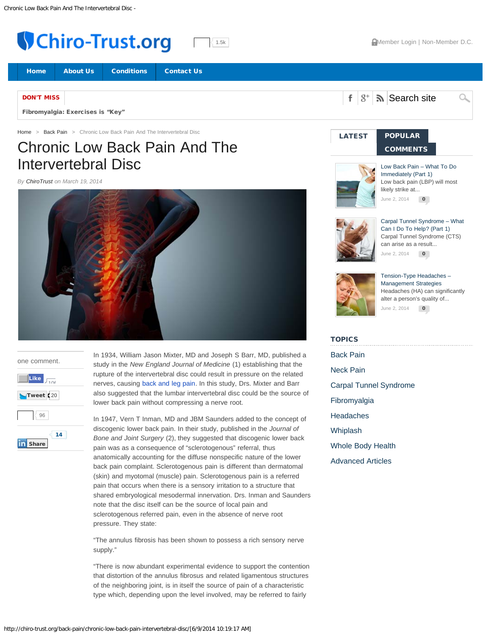<span id="page-0-1"></span><span id="page-0-0"></span>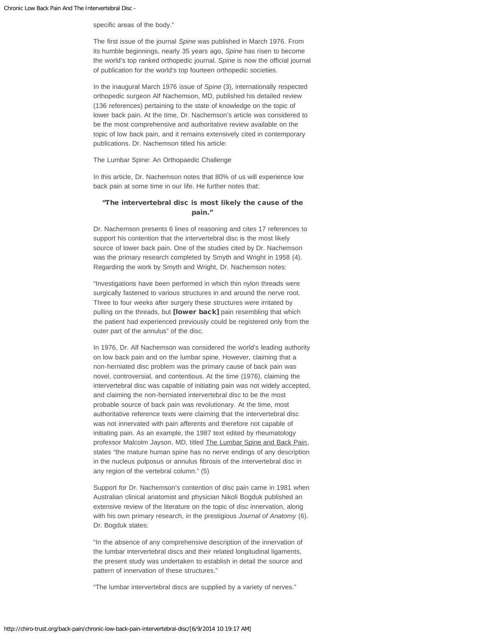#### specific areas of the body."

The first issue of the journal *Spine* was published in March 1976. From its humble beginnings, nearly 35 years ago, *Spine* has risen to become the world's top ranked orthopedic journal. *Spine* is now the official journal of publication for the world's top fourteen orthopedic societies.

In the inaugural March 1976 issue of *Spine* (3), internationally respected orthopedic surgeon Alf Nachemson, MD, published his detailed review (136 references) pertaining to the state of knowledge on the topic of lower back pain. At the time, Dr. Nachemson's article was considered to be the most comprehensive and authoritative review available on the topic of low back pain, and it remains extensively cited in contemporary publications. Dr. Nachemson titled his article:

#### The Lumbar Spine: An Orthopaedic Challenge

In this article, Dr. Nachemson notes that 80% of us will experience low back pain at some time in our life. He further notes that:

## "The intervertebral disc is most likely the cause of the pain."

Dr. Nachemson presents 6 lines of reasoning and cites 17 references to support his contention that the intervertebral disc is the most likely source of lower back pain. One of the studies cited by Dr. Nachemson was the primary research completed by Smyth and Wright in 1958 (4). Regarding the work by Smyth and Wright, Dr. Nachemson notes:

"Investigations have been performed in which thin nylon threads were surgically fastened to various structures in and around the nerve root. Three to four weeks after surgery these structures were irritated by pulling on the threads, but [lower back] pain resembling that which the patient had experienced previously could be registered only from the outer part of the annulus" of the disc.

In 1976, Dr. Alf Nachemson was considered the world's leading authority on low back pain and on the lumbar spine. However, claiming that a non-herniated disc problem was the primary cause of back pain was novel, controversial, and contentious. At the time (1976), claiming the intervertebral disc was capable of initiating pain was not widely accepted, and claiming the non-herniated intervertebral disc to be the most probable source of back pain was revolutionary. At the time, most authoritative reference texts were claiming that the intervertebral disc was not innervated with pain afferents and therefore not capable of initiating pain. As an example, the 1987 text edited by rheumatology professor Malcolm Jayson, MD, titled The Lumbar Spine and Back Pain, states "the mature human spine has no nerve endings of any description in the nucleus pulposus or annulus fibrosis of the intervertebral disc in any region of the vertebral column." (5)

Support for Dr. Nachemson's contention of disc pain came in 1981 when Australian clinical anatomist and physician Nikoli Bogduk published an extensive review of the literature on the topic of disc innervation, along with his own primary research, in the prestigious *Journal of Anatomy* (6). Dr. Bogduk states:

"In the absence of any comprehensive description of the innervation of the lumbar intervertebral discs and their related longitudinal ligaments, the present study was undertaken to establish in detail the source and pattern of innervation of these structures."

"The lumbar intervertebral discs are supplied by a variety of nerves."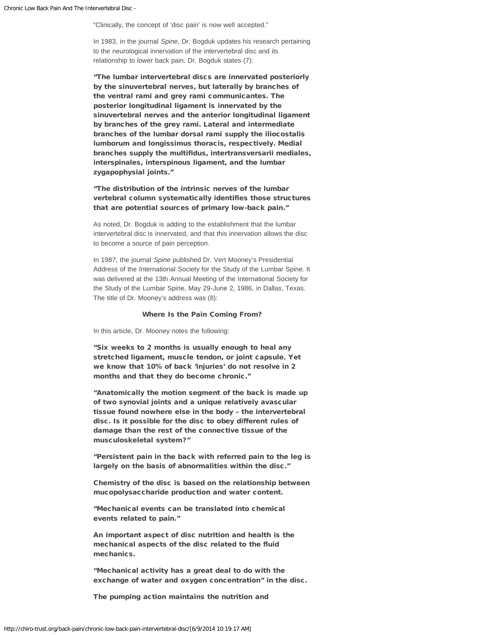"Clinically, the concept of 'disc pain' is now well accepted."

In 1983, in the journal *Spine*, Dr. Bogduk updates his research pertaining to the neurological innervation of the intervertebral disc and its relationship to lower back pain. Dr. Bogduk states (7):

"The lumbar intervertebral discs are innervated posteriorly by the sinuvertebral nerves, but laterally by branches of the ventral rami and grey rami communicantes. The posterior longitudinal ligament is innervated by the sinuvertebral nerves and the anterior longitudinal ligament by branches of the grey rami. Lateral and intermediate branches of the lumbar dorsal rami supply the iliocostalis lumborum and longissimus thoracis, respectively. Medial branches supply the multifidus, intertransversarii mediales, interspinales, interspinous ligament, and the lumbar zygapophysial joints."

"The distribution of the intrinsic nerves of the lumbar vertebral column systematically identifies those structures that are potential sources of primary low-back pain."

As noted, Dr. Bogduk is adding to the establishment that the lumbar intervertebral disc is innervated, and that this innervation allows the disc to become a source of pain perception.

In 1987, the journal *Spine* published Dr. Vert Mooney's Presidential Address of the International Society for the Study of the Lumbar Spine. It was delivered at the 13th Annual Meeting of the International Society for the Study of the Lumbar Spine, May 29-June 2, 1986, in Dallas, Texas. The title of Dr. Mooney's address was (8):

#### Where Is the Pain Coming From?

In this article, Dr. Mooney notes the following:

"Six weeks to 2 months is usually enough to heal any stretched ligament, muscle tendon, or joint capsule. Yet we know that 10% of back 'injuries' do not resolve in 2 months and that they do become chronic."

"Anatomically the motion segment of the back is made up of two synovial joints and a unique relatively avascular tissue found nowhere else in the body – the intervertebral disc. Is it possible for the disc to obey different rules of damage than the rest of the connective tissue of the musculoskeletal system?"

"Persistent pain in the back with referred pain to the leg is largely on the basis of abnormalities within the disc."

Chemistry of the disc is based on the relationship between mucopolysaccharide production and water content.

"Mechanical events can be translated into chemical events related to pain."

An important aspect of disc nutrition and health is the mechanical aspects of the disc related to the fluid mechanics.

"Mechanical activity has a great deal to do with the exchange of water and oxygen concentration" in the disc.

The pumping action maintains the nutrition and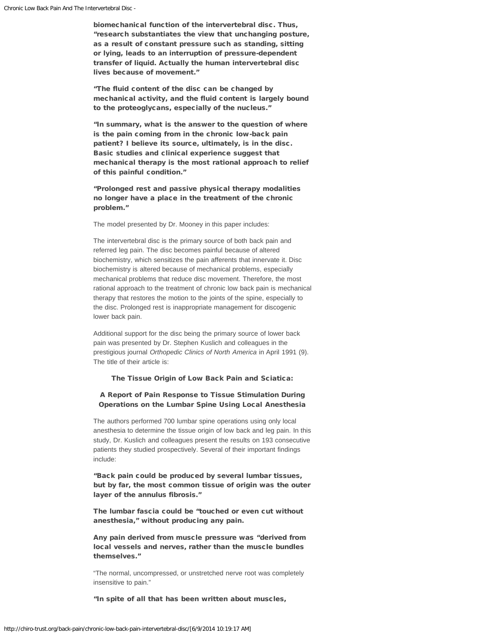biomechanical function of the intervertebral disc. Thus, "research substantiates the view that unchanging posture, as a result of constant pressure such as standing, sitting or lying, leads to an interruption of pressure-dependent transfer of liquid. Actually the human intervertebral disc lives because of movement."

"The fluid content of the disc can be changed by mechanical activity, and the fluid content is largely bound to the proteoglycans, especially of the nucleus."

"In summary, what is the answer to the question of where is the pain coming from in the chronic low-back pain patient? I believe its source, ultimately, is in the disc. Basic studies and clinical experience suggest that mechanical therapy is the most rational approach to relief of this painful condition."

"Prolonged rest and passive physical therapy modalities no longer have a place in the treatment of the chronic problem."

The model presented by Dr. Mooney in this paper includes:

The intervertebral disc is the primary source of both back pain and referred leg pain. The disc becomes painful because of altered biochemistry, which sensitizes the pain afferents that innervate it. Disc biochemistry is altered because of mechanical problems, especially mechanical problems that reduce disc movement. Therefore, the most rational approach to the treatment of chronic low back pain is mechanical therapy that restores the motion to the joints of the spine, especially to the disc. Prolonged rest is inappropriate management for discogenic lower back pain.

Additional support for the disc being the primary source of lower back pain was presented by Dr. Stephen Kuslich and colleagues in the prestigious journal *Orthopedic Clinics of North America* in April 1991 (9). The title of their article is:

## The Tissue Origin of Low Back Pain and Sciatica:

# A Report of Pain Response to Tissue Stimulation During Operations on the Lumbar Spine Using Local Anesthesia

The authors performed 700 lumbar spine operations using only local anesthesia to determine the tissue origin of low back and leg pain. In this study, Dr. Kuslich and colleagues present the results on 193 consecutive patients they studied prospectively. Several of their important findings include:

"Back pain could be produced by several lumbar tissues, but by far, the most common tissue of origin was the outer layer of the annulus fibrosis."

The lumbar fascia could be "touched or even cut without anesthesia," without producing any pain.

Any pain derived from muscle pressure was "derived from local vessels and nerves, rather than the muscle bundles themselves."

"The normal, uncompressed, or unstretched nerve root was completely insensitive to pain."

"In spite of all that has been written about muscles,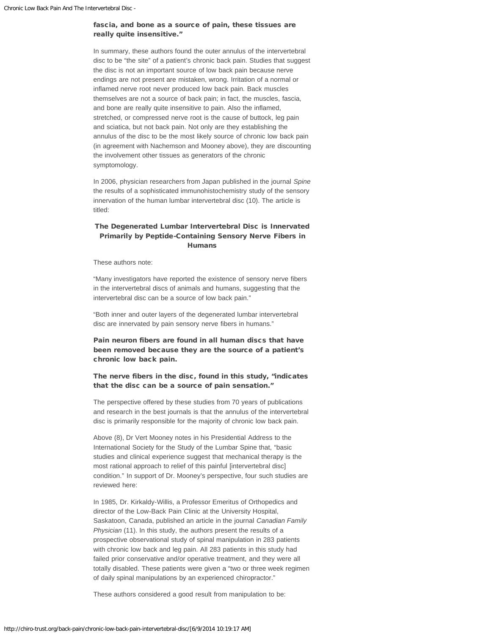## fascia, and bone as a source of pain, these tissues are really quite insensitive."

In summary, these authors found the outer annulus of the intervertebral disc to be "the site" of a patient's chronic back pain. Studies that suggest the disc is not an important source of low back pain because nerve endings are not present are mistaken, wrong. Irritation of a normal or inflamed nerve root never produced low back pain. Back muscles themselves are not a source of back pain; in fact, the muscles, fascia, and bone are really quite insensitive to pain. Also the inflamed, stretched, or compressed nerve root is the cause of buttock, leg pain and sciatica, but not back pain. Not only are they establishing the annulus of the disc to be the most likely source of chronic low back pain (in agreement with Nachemson and Mooney above), they are discounting the involvement other tissues as generators of the chronic symptomology.

In 2006, physician researchers from Japan published in the journal *Spine* the results of a sophisticated immunohistochemistry study of the sensory innervation of the human lumbar intervertebral disc (10). The article is titled:

## The Degenerated Lumbar Intervertebral Disc is Innervated Primarily by Peptide-Containing Sensory Nerve Fibers in Humans

These authors note:

"Many investigators have reported the existence of sensory nerve fibers in the intervertebral discs of animals and humans, suggesting that the intervertebral disc can be a source of low back pain."

"Both inner and outer layers of the degenerated lumbar intervertebral disc are innervated by pain sensory nerve fibers in humans."

Pain neuron fibers are found in all human discs that have been removed because they are the source of a patient's chronic low back pain.

The nerve fibers in the disc, found in this study, "indicates that the disc can be a source of pain sensation."

The perspective offered by these studies from 70 years of publications and research in the best journals is that the annulus of the intervertebral disc is primarily responsible for the majority of chronic low back pain.

Above (8), Dr Vert Mooney notes in his Presidential Address to the International Society for the Study of the Lumbar Spine that, "basic studies and clinical experience suggest that mechanical therapy is the most rational approach to relief of this painful [intervertebral disc] condition." In support of Dr. Mooney's perspective, four such studies are reviewed here:

In 1985, Dr. Kirkaldy-Willis, a Professor Emeritus of Orthopedics and director of the Low-Back Pain Clinic at the University Hospital, Saskatoon, Canada, published an article in the journal *Canadian Family Physician* (11). In this study, the authors present the results of a prospective observational study of spinal manipulation in 283 patients with chronic low back and leg pain. All 283 patients in this study had failed prior conservative and/or operative treatment, and they were all totally disabled. These patients were given a "two or three week regimen of daily spinal manipulations by an experienced chiropractor."

These authors considered a good result from manipulation to be: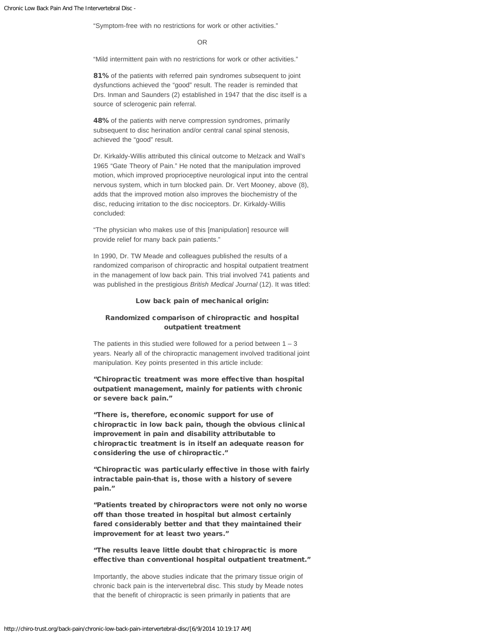"Symptom-free with no restrictions for work or other activities."

#### OR

"Mild intermittent pain with no restrictions for work or other activities."

81% of the patients with referred pain syndromes subsequent to joint dysfunctions achieved the "good" result. The reader is reminded that Drs. Inman and Saunders (2) established in 1947 that the disc itself is a source of sclerogenic pain referral.

48% of the patients with nerve compression syndromes, primarily subsequent to disc herination and/or central canal spinal stenosis, achieved the "good" result.

Dr. Kirkaldy-Willis attributed this clinical outcome to Melzack and Wall's 1965 "Gate Theory of Pain." He noted that the manipulation improved motion, which improved proprioceptive neurological input into the central nervous system, which in turn blocked pain. Dr. Vert Mooney, above (8), adds that the improved motion also improves the biochemistry of the disc, reducing irritation to the disc nociceptors. Dr. Kirkaldy-Willis concluded:

"The physician who makes use of this [manipulation] resource will provide relief for many back pain patients."

In 1990, Dr. TW Meade and colleagues published the results of a randomized comparison of chiropractic and hospital outpatient treatment in the management of low back pain. This trial involved 741 patients and was published in the prestigious *British Medical Journal* (12). It was titled:

## Low back pain of mechanical origin:

## Randomized comparison of chiropractic and hospital outpatient treatment

The patients in this studied were followed for a period between  $1 - 3$ years. Nearly all of the chiropractic management involved traditional joint manipulation. Key points presented in this article include:

"Chiropractic treatment was more effective than hospital outpatient management, mainly for patients with chronic or severe back pain."

"There is, therefore, economic support for use of chiropractic in low back pain, though the obvious clinical improvement in pain and disability attributable to chiropractic treatment is in itself an adequate reason for considering the use of chiropractic."

"Chiropractic was particularly effective in those with fairly intractable pain-that is, those with a history of severe pain."

"Patients treated by chiropractors were not only no worse off than those treated in hospital but almost certainly fared considerably better and that they maintained their improvement for at least two years."

# "The results leave little doubt that chiropractic is more effective than conventional hospital outpatient treatment."

Importantly, the above studies indicate that the primary tissue origin of chronic back pain is the intervertebral disc. This study by Meade notes that the benefit of chiropractic is seen primarily in patients that are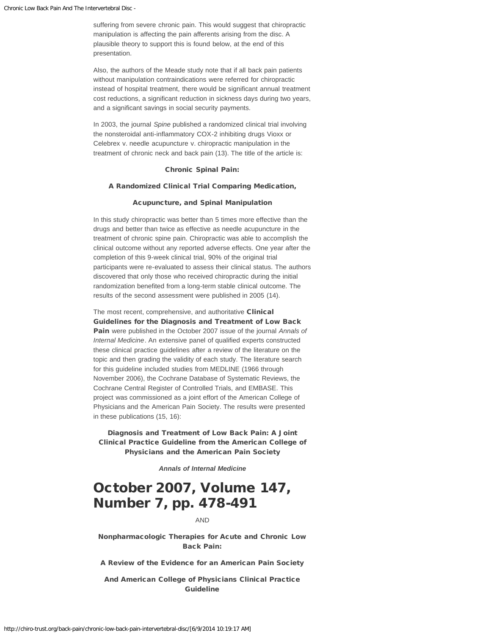suffering from severe chronic pain. This would suggest that chiropractic manipulation is affecting the pain afferents arising from the disc. A plausible theory to support this is found below, at the end of this presentation.

Also, the authors of the Meade study note that if all back pain patients without manipulation contraindications were referred for chiropractic instead of hospital treatment, there would be significant annual treatment cost reductions, a significant reduction in sickness days during two years, and a significant savings in social security payments.

In 2003, the journal *Spine* published a randomized clinical trial involving the nonsteroidal anti-inflammatory COX-2 inhibiting drugs Vioxx or Celebrex v. needle acupuncture v. chiropractic manipulation in the treatment of chronic neck and back pain (13). The title of the article is:

#### Chronic Spinal Pain:

#### A Randomized Clinical Trial Comparing Medication,

#### Acupuncture, and Spinal Manipulation

In this study chiropractic was better than 5 times more effective than the drugs and better than twice as effective as needle acupuncture in the treatment of chronic spine pain. Chiropractic was able to accomplish the clinical outcome without any reported adverse effects. One year after the completion of this 9-week clinical trial, 90% of the original trial participants were re-evaluated to assess their clinical status. The authors discovered that only those who received chiropractic during the initial randomization benefited from a long-term stable clinical outcome. The results of the second assessment were published in 2005 (14).

The most recent, comprehensive, and authoritative Clinical Guidelines for the Diagnosis and Treatment of Low Back Pain were published in the October 2007 issue of the journal *Annals of Internal Medicine*. An extensive panel of qualified experts constructed these clinical practice guidelines after a review of the literature on the topic and then grading the validity of each study. The literature search for this guideline included studies from MEDLINE (1966 through November 2006), the Cochrane Database of Systematic Reviews, the Cochrane Central Register of Controlled Trials, and EMBASE. This project was commissioned as a joint effort of the American College of Physicians and the American Pain Society. The results were presented in these publications (15, 16):

Diagnosis and Treatment of Low Back Pain: A Joint Clinical Practice Guideline from the American College of Physicians and the American Pain Society

*Annals of Internal Medicine*

# October 2007, Volume 147, Number 7, pp. 478-491

## AND

Nonpharmacologic Therapies for Acute and Chronic Low Back Pain:

A Review of the Evidence for an American Pain Society

And American College of Physicians Clinical Practice Guideline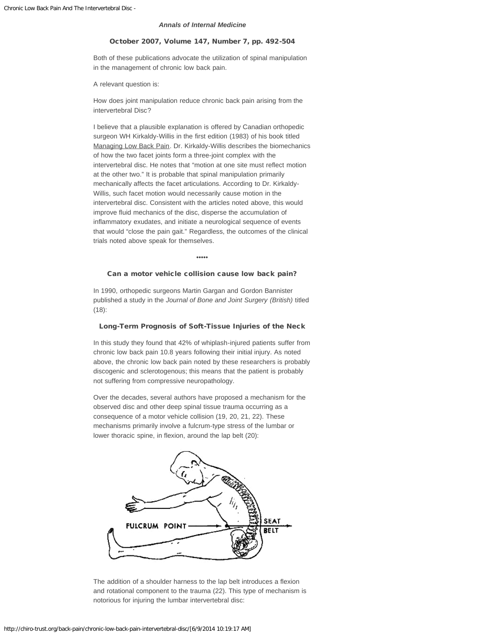#### *Annals of Internal Medicine*

#### October 2007, Volume 147, Number 7, pp. 492-504

Both of these publications advocate the utilization of spinal manipulation in the management of chronic low back pain.

A relevant question is:

How does joint manipulation reduce chronic back pain arising from the intervertebral Disc?

I believe that a plausible explanation is offered by Canadian orthopedic surgeon WH Kirkaldy-Willis in the first edition (1983) of his book titled Managing Low Back Pain. Dr. Kirkaldy-Willis describes the biomechanics of how the two facet joints form a three-joint complex with the intervertebral disc. He notes that "motion at one site must reflect motion at the other two." It is probable that spinal manipulation primarily mechanically affects the facet articulations. According to Dr. Kirkaldy-Willis, such facet motion would necessarily cause motion in the intervertebral disc. Consistent with the articles noted above, this would improve fluid mechanics of the disc, disperse the accumulation of inflammatory exudates, and initiate a neurological sequence of events that would "close the pain gait." Regardless, the outcomes of the clinical trials noted above speak for themselves.

•••••

#### Can a motor vehicle collision cause low back pain?

In 1990, orthopedic surgeons Martin Gargan and Gordon Bannister published a study in the *Journal of Bone and Joint Surgery (British)* titled (18):

#### Long-Term Prognosis of Soft-Tissue Injuries of the Neck

In this study they found that 42% of whiplash-injured patients suffer from chronic low back pain 10.8 years following their initial injury. As noted above, the chronic low back pain noted by these researchers is probably discogenic and sclerotogenous; this means that the patient is probably not suffering from compressive neuropathology.

Over the decades, several authors have proposed a mechanism for the observed disc and other deep spinal tissue trauma occurring as a consequence of a motor vehicle collision (19, 20, 21, 22). These mechanisms primarily involve a fulcrum-type stress of the lumbar or lower thoracic spine, in flexion, around the lap belt (20):



The addition of a shoulder harness to the lap belt introduces a flexion and rotational component to the trauma (22). This type of mechanism is notorious for injuring the lumbar intervertebral disc: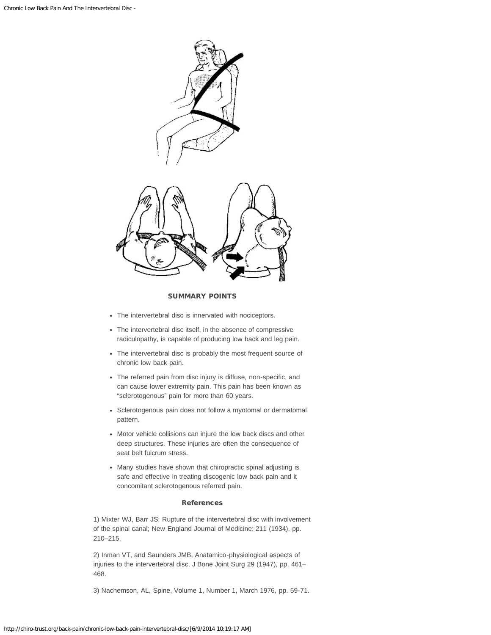

#### SUMMARY POINTS

- The intervertebral disc is innervated with nociceptors.
- The intervertebral disc itself, in the absence of compressive radiculopathy, is capable of producing low back and leg pain.
- The intervertebral disc is probably the most frequent source of chronic low back pain.
- The referred pain from disc injury is diffuse, non-specific, and can cause lower extremity pain. This pain has been known as "sclerotogenous" pain for more than 60 years.
- Sclerotogenous pain does not follow a myotomal or dermatomal pattern.
- Motor vehicle collisions can injure the low back discs and other deep structures. These injuries are often the consequence of seat belt fulcrum stress.
- Many studies have shown that chiropractic spinal adjusting is safe and effective in treating discogenic low back pain and it concomitant sclerotogenous referred pain.

## References

1) Mixter WJ, Barr JS; Rupture of the intervertebral disc with involvement of the spinal canal; New England Journal of Medicine; 211 (1934), pp. 210–215.

2) Inman VT, and Saunders JMB, Anatamico-physiological aspects of injuries to the intervertebral disc, J Bone Joint Surg 29 (1947), pp. 461– 468.

3) Nachemson, AL, Spine, Volume 1, Number 1, March 1976, pp. 59-71.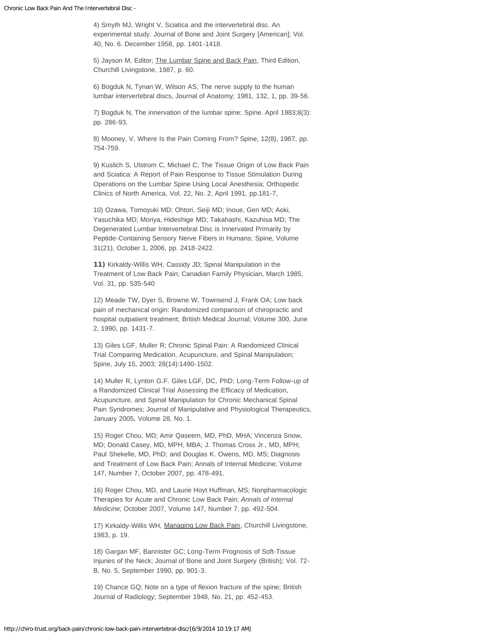4) Smyth MJ, Wright V, Sciatica and the intervertebral disc. An experimental study. Journal of Bone and Joint Surgery [American]; Vol. 40, No. 6. December 1958, pp. 1401-1418.

5) Jayson M, Editor; The Lumbar Spine and Back Pain, Third Edition, Churchill Livingstone, 1987, p. 60.

6) Bogduk N, Tynan W, Wilson AS, The nerve supply to the human lumbar intervertebral discs, Journal of Anatomy; 1981, 132, 1, pp. 39-56.

7) Bogduk N, The innervation of the lumbar spine; Spine. April 1983;8(3): pp. 286-93.

8) Mooney, V, Where Is the Pain Coming From? Spine, 12(8), 1987, pp. 754-759.

9) Kuslich S, Ulstrom C, Michael C; The Tissue Origin of Low Back Pain and Sciatica: A Report of Pain Response to Tissue Stimulation During Operations on the Lumbar Spine Using Local Anesthesia; Orthopedic Clinics of North America, Vol. 22, No. 2, April 1991, pp.181-7,

10) Ozawa, Tomoyuki MD; Ohtori, Seiji MD; Inoue, Gen MD; Aoki, Yasuchika MD; Moriya, Hideshige MD; Takahashi, Kazuhisa MD; The Degenerated Lumbar Intervertebral Disc is Innervated Primarily by Peptide-Containing Sensory Nerve Fibers in Humans; Spine, Volume 31(21), October 1, 2006, pp. 2418-2422.

11) Kirkaldy-Willis WH, Cassidy JD; Spinal Manipulation in the Treatment of Low Back Pain; Canadian Family Physician, March 1985, Vol. 31, pp. 535-540

12) Meade TW, Dyer S, Browne W, Townsend J, Frank OA; Low back pain of mechanical origin: Randomized comparison of chiropractic and hospital outpatient treatment; British Medical Journal; Volume 300, June 2, 1990, pp. 1431-7.

13) Giles LGF, Muller R; Chronic Spinal Pain: A Randomized Clinical Trial Comparing Medication, Acupuncture, and Spinal Manipulation; Spine, July 15, 2003; 28(14):1490-1502.

14) Muller R, Lynton G.F. Giles LGF, DC, PhD; Long-Term Follow-up of a Randomized Clinical Trial Assessing the Efficacy of Medication, Acupuncture, and Spinal Manipulation for Chronic Mechanical Spinal Pain Syndromes; Journal of Manipulative and Physiological Therapeutics, January 2005, Volume 28, No. 1.

15) Roger Chou, MD; Amir Qaseem, MD, PhD, MHA; Vincenza Snow, MD; Donald Casey, MD, MPH, MBA; J. Thomas Cross Jr., MD, MPH; Paul Shekelle, MD, PhD; and Douglas K. Owens, MD, MS; Diagnosis and Treatment of Low Back Pain; Annals of Internal Medicine; Volume 147, Number 7, October 2007, pp. 478-491.

16) Roger Chou, MD, and Laurie Hoyt Huffman, MS; Nonpharmacologic Therapies for Acute and Chronic Low Back Pain; *Annals of Internal Medicine;* October 2007, Volume 147, Number 7, pp. 492-504.

17) Kirkaldy-Willis WH, Managing Low Back Pain, Churchill Livingstone, 1983, p. 19.

18) Gargan MF, Bannister GC; Long-Term Prognosis of Soft-Tissue Injuries of the Neck; Journal of Bone and Joint Surgery (British); Vol. 72- B, No. 5, September 1990, pp. 901-3.

19) Chance GQ; Note on a type of flexion fracture of the spine; British Journal of Radiology; September 1948, No. 21, pp. 452-453.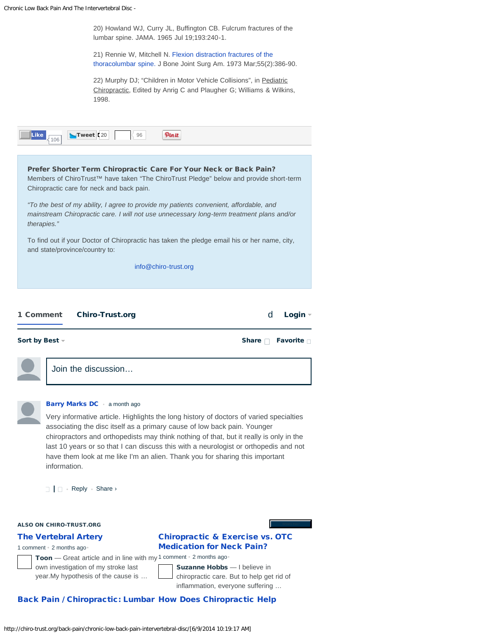Chron

|                | nic Low Back Pain And The Intervertebral Disc -                                                                                                                                                                                                                                                                                                                                                                                                                                           |
|----------------|-------------------------------------------------------------------------------------------------------------------------------------------------------------------------------------------------------------------------------------------------------------------------------------------------------------------------------------------------------------------------------------------------------------------------------------------------------------------------------------------|
|                | 20) Howland WJ, Curry JL, Buffington CB. Fulcrum fractures of the<br>lumbar spine. JAMA. 1965 Jul 19;193:240-1.                                                                                                                                                                                                                                                                                                                                                                           |
|                | 21) Rennie W, Mitchell N. Flexion distraction fractures of the<br>thoracolumbar spine. J Bone Joint Surg Am. 1973 Mar; 55(2): 386-90.                                                                                                                                                                                                                                                                                                                                                     |
|                | 22) Murphy DJ; "Children in Motor Vehicle Collisions", in Pediatric<br>Chiropractic, Edited by Anrig C and Plaugher G; Williams & Wilkins,<br>1998.                                                                                                                                                                                                                                                                                                                                       |
| <b>Like</b>    | Tweet 20<br>Pinit<br>$\langle$ 96<br>106                                                                                                                                                                                                                                                                                                                                                                                                                                                  |
|                | Prefer Shorter Term Chiropractic Care For Your Neck or Back Pain?<br>Members of ChiroTrust™ have taken "The ChiroTrust Pledge" below and provide short-term<br>Chiropractic care for neck and back pain.                                                                                                                                                                                                                                                                                  |
| therapies."    | "To the best of my ability, I agree to provide my patients convenient, affordable, and<br>mainstream Chiropractic care. I will not use unnecessary long-term treatment plans and/or                                                                                                                                                                                                                                                                                                       |
|                | To find out if your Doctor of Chiropractic has taken the pledge email his or her name, city,<br>and state/province/country to:                                                                                                                                                                                                                                                                                                                                                            |
|                | info@chiro-trust.org                                                                                                                                                                                                                                                                                                                                                                                                                                                                      |
|                |                                                                                                                                                                                                                                                                                                                                                                                                                                                                                           |
|                |                                                                                                                                                                                                                                                                                                                                                                                                                                                                                           |
|                |                                                                                                                                                                                                                                                                                                                                                                                                                                                                                           |
| 1 Comment      | d<br><b>Chiro-Trust.org</b><br>Login -                                                                                                                                                                                                                                                                                                                                                                                                                                                    |
| Sort by Best - | Favorite $\Box$<br>Share                                                                                                                                                                                                                                                                                                                                                                                                                                                                  |
|                | Join the discussion                                                                                                                                                                                                                                                                                                                                                                                                                                                                       |
|                |                                                                                                                                                                                                                                                                                                                                                                                                                                                                                           |
|                | <b>Barry Marks DC</b> a month ago<br>Very informative article. Highlights the long history of doctors of varied specialties<br>associating the disc itself as a primary cause of low back pain. Younger<br>chiropractors and orthopedists may think nothing of that, but it really is only in the<br>last 10 years or so that I can discuss this with a neurologist or orthopedis and not<br>have them look at me like I'm an alien. Thank you for sharing this important<br>information. |
|                | $\Box$ $\Box$ Reply $\cdot$ Share $\rightarrow$                                                                                                                                                                                                                                                                                                                                                                                                                                           |
|                |                                                                                                                                                                                                                                                                                                                                                                                                                                                                                           |
|                | <b>ALSO ON CHIRO-TRUST.ORG</b>                                                                                                                                                                                                                                                                                                                                                                                                                                                            |
|                | <b>Chiropractic &amp; Exercise vs. OTC</b><br><b>The Vertebral Artery</b><br><b>Medication for Neck Pain?</b><br>1 comment . 2 months ago.                                                                                                                                                                                                                                                                                                                                                |
|                | Toon - Great article and in line with my 1 comment . 2 months ago.                                                                                                                                                                                                                                                                                                                                                                                                                        |
|                | Suzanne Hobbs - I believe in<br>own investigation of my stroke last<br>year. My hypothesis of the cause is<br>chiropractic care. But to help get rid of<br>inflammation, everyone suffering                                                                                                                                                                                                                                                                                               |